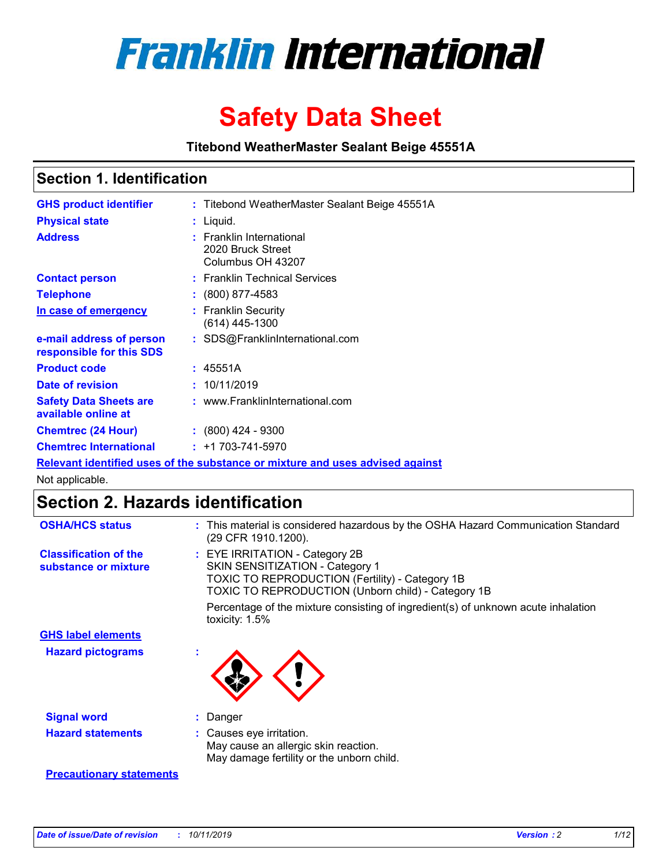

# **Safety Data Sheet**

**Titebond WeatherMaster Sealant Beige 45551A**

## **Section 1. Identification**

| <b>GHS product identifier</b>                        | : Titebond WeatherMaster Sealant Beige 45551A                                 |
|------------------------------------------------------|-------------------------------------------------------------------------------|
| <b>Physical state</b>                                | : Liquid.                                                                     |
| <b>Address</b>                                       | : Franklin International<br>2020 Bruck Street<br>Columbus OH 43207            |
| <b>Contact person</b>                                | : Franklin Technical Services                                                 |
| <b>Telephone</b>                                     | : (800) 877-4583                                                              |
| In case of emergency                                 | : Franklin Security<br>$(614)$ 445-1300                                       |
| e-mail address of person<br>responsible for this SDS | : SDS@FranklinInternational.com                                               |
| <b>Product code</b>                                  | : 45551A                                                                      |
| Date of revision                                     | : 10/11/2019                                                                  |
| <b>Safety Data Sheets are</b><br>available online at | : www.FranklinInternational.com                                               |
| <b>Chemtrec (24 Hour)</b>                            | $\div$ (800) 424 - 9300                                                       |
| <b>Chemtrec International</b>                        | $: +1703 - 741 - 5970$                                                        |
|                                                      | Relevant identified uses of the substance or mixture and uses advised against |

Not applicable.

# **Section 2. Hazards identification**

| <b>OSHA/HCS status</b>                               | : This material is considered hazardous by the OSHA Hazard Communication Standard<br>(29 CFR 1910.1200).                                                                          |
|------------------------------------------------------|-----------------------------------------------------------------------------------------------------------------------------------------------------------------------------------|
| <b>Classification of the</b><br>substance or mixture | : EYE IRRITATION - Category 2B<br>SKIN SENSITIZATION - Category 1<br><b>TOXIC TO REPRODUCTION (Fertility) - Category 1B</b><br>TOXIC TO REPRODUCTION (Unborn child) - Category 1B |
|                                                      | Percentage of the mixture consisting of ingredient(s) of unknown acute inhalation<br>toxicity: $1.5\%$                                                                            |
| <b>GHS label elements</b>                            |                                                                                                                                                                                   |
| <b>Hazard pictograms</b>                             |                                                                                                                                                                                   |
| <b>Signal word</b>                                   | : Danger                                                                                                                                                                          |
| <b>Hazard statements</b>                             | : Causes eye irritation.<br>May cause an allergic skin reaction.<br>May damage fertility or the unborn child.                                                                     |
| <b>Precautionary statements</b>                      |                                                                                                                                                                                   |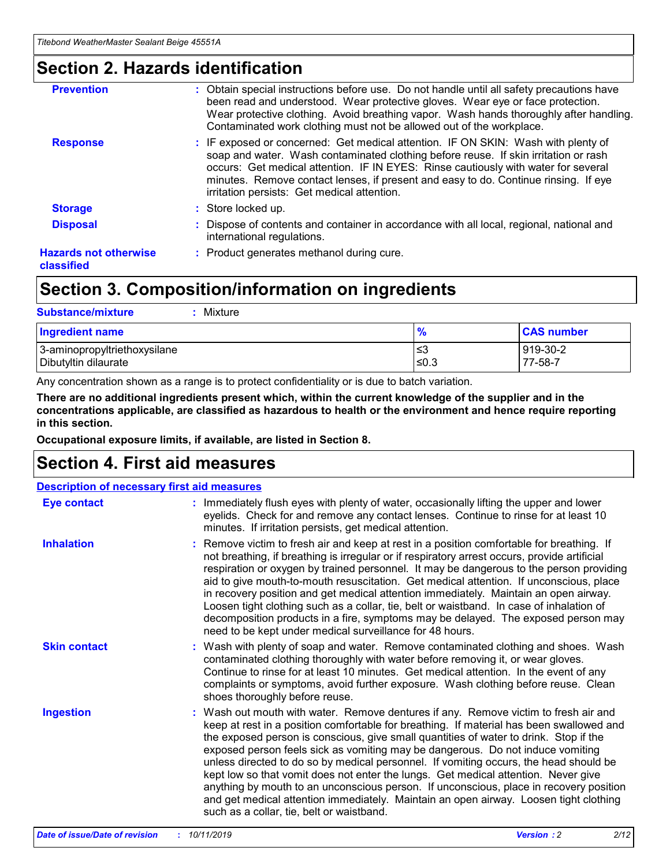# **Section 2. Hazards identification**

| <b>Prevention</b>                          | : Obtain special instructions before use. Do not handle until all safety precautions have<br>been read and understood. Wear protective gloves. Wear eye or face protection.<br>Wear protective clothing. Avoid breathing vapor. Wash hands thoroughly after handling.<br>Contaminated work clothing must not be allowed out of the workplace.                                                        |
|--------------------------------------------|------------------------------------------------------------------------------------------------------------------------------------------------------------------------------------------------------------------------------------------------------------------------------------------------------------------------------------------------------------------------------------------------------|
| <b>Response</b>                            | : IF exposed or concerned: Get medical attention. IF ON SKIN: Wash with plenty of<br>soap and water. Wash contaminated clothing before reuse. If skin irritation or rash<br>occurs: Get medical attention. IF IN EYES: Rinse cautiously with water for several<br>minutes. Remove contact lenses, if present and easy to do. Continue rinsing. If eye<br>irritation persists: Get medical attention. |
| <b>Storage</b>                             | : Store locked up.                                                                                                                                                                                                                                                                                                                                                                                   |
| <b>Disposal</b>                            | : Dispose of contents and container in accordance with all local, regional, national and<br>international regulations.                                                                                                                                                                                                                                                                               |
| <b>Hazards not otherwise</b><br>classified | : Product generates methanol during cure.                                                                                                                                                                                                                                                                                                                                                            |
|                                            |                                                                                                                                                                                                                                                                                                                                                                                                      |

# **Section 3. Composition/information on ingredients**

| <b>Substance/mixture</b><br>Mixture                  |                   |                     |
|------------------------------------------------------|-------------------|---------------------|
| <b>Ingredient name</b>                               | $\frac{9}{6}$     | <b>CAS number</b>   |
| 3-aminopropyltriethoxysilane<br>Dibutyltin dilaurate | l≤3<br>$\leq 0.3$ | 919-30-2<br>77-58-7 |

Any concentration shown as a range is to protect confidentiality or is due to batch variation.

**There are no additional ingredients present which, within the current knowledge of the supplier and in the concentrations applicable, are classified as hazardous to health or the environment and hence require reporting in this section.**

**Occupational exposure limits, if available, are listed in Section 8.**

# **Section 4. First aid measures**

| <b>Description of necessary first aid measures</b> |                                                                                                                                                                                                                                                                                                                                                                                                                                                                                                                                                                                                                                                                                                                                                                           |  |  |  |
|----------------------------------------------------|---------------------------------------------------------------------------------------------------------------------------------------------------------------------------------------------------------------------------------------------------------------------------------------------------------------------------------------------------------------------------------------------------------------------------------------------------------------------------------------------------------------------------------------------------------------------------------------------------------------------------------------------------------------------------------------------------------------------------------------------------------------------------|--|--|--|
| <b>Eye contact</b>                                 | : Immediately flush eyes with plenty of water, occasionally lifting the upper and lower<br>eyelids. Check for and remove any contact lenses. Continue to rinse for at least 10<br>minutes. If irritation persists, get medical attention.                                                                                                                                                                                                                                                                                                                                                                                                                                                                                                                                 |  |  |  |
| <b>Inhalation</b>                                  | : Remove victim to fresh air and keep at rest in a position comfortable for breathing. If<br>not breathing, if breathing is irregular or if respiratory arrest occurs, provide artificial<br>respiration or oxygen by trained personnel. It may be dangerous to the person providing<br>aid to give mouth-to-mouth resuscitation. Get medical attention. If unconscious, place<br>in recovery position and get medical attention immediately. Maintain an open airway.<br>Loosen tight clothing such as a collar, tie, belt or waistband. In case of inhalation of<br>decomposition products in a fire, symptoms may be delayed. The exposed person may<br>need to be kept under medical surveillance for 48 hours.                                                       |  |  |  |
| <b>Skin contact</b>                                | : Wash with plenty of soap and water. Remove contaminated clothing and shoes. Wash<br>contaminated clothing thoroughly with water before removing it, or wear gloves.<br>Continue to rinse for at least 10 minutes. Get medical attention. In the event of any<br>complaints or symptoms, avoid further exposure. Wash clothing before reuse. Clean<br>shoes thoroughly before reuse.                                                                                                                                                                                                                                                                                                                                                                                     |  |  |  |
| <b>Ingestion</b>                                   | : Wash out mouth with water. Remove dentures if any. Remove victim to fresh air and<br>keep at rest in a position comfortable for breathing. If material has been swallowed and<br>the exposed person is conscious, give small quantities of water to drink. Stop if the<br>exposed person feels sick as vomiting may be dangerous. Do not induce vomiting<br>unless directed to do so by medical personnel. If vomiting occurs, the head should be<br>kept low so that vomit does not enter the lungs. Get medical attention. Never give<br>anything by mouth to an unconscious person. If unconscious, place in recovery position<br>and get medical attention immediately. Maintain an open airway. Loosen tight clothing<br>such as a collar, tie, belt or waistband. |  |  |  |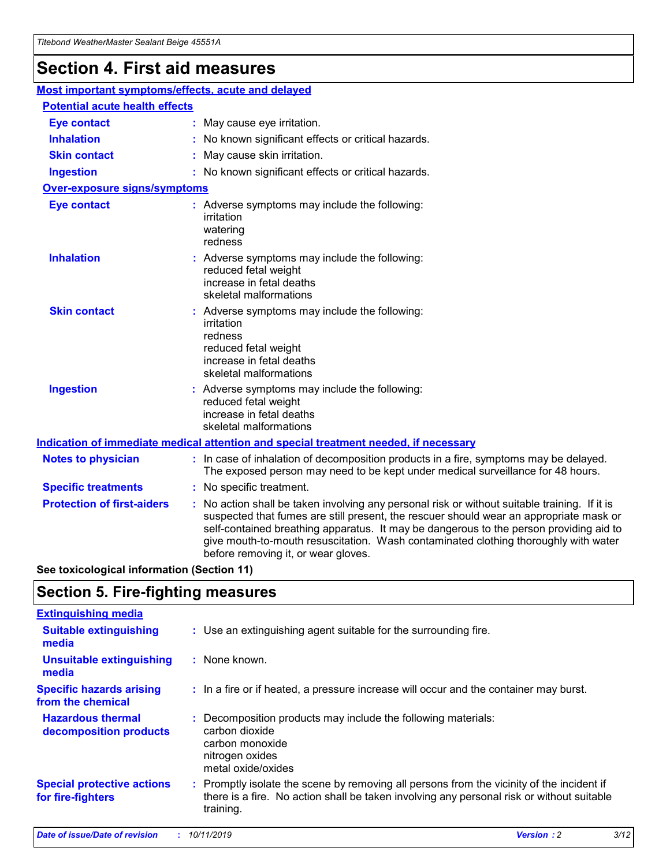# **Section 4. First aid measures**

| Most important symptoms/effects, acute and delayed |                                       |                                                                                                                                                                                                                                                                                                                                                                                                                 |  |  |  |
|----------------------------------------------------|---------------------------------------|-----------------------------------------------------------------------------------------------------------------------------------------------------------------------------------------------------------------------------------------------------------------------------------------------------------------------------------------------------------------------------------------------------------------|--|--|--|
|                                                    | <b>Potential acute health effects</b> |                                                                                                                                                                                                                                                                                                                                                                                                                 |  |  |  |
| <b>Eye contact</b>                                 |                                       | : May cause eye irritation.                                                                                                                                                                                                                                                                                                                                                                                     |  |  |  |
| <b>Inhalation</b>                                  |                                       | : No known significant effects or critical hazards.                                                                                                                                                                                                                                                                                                                                                             |  |  |  |
| <b>Skin contact</b>                                |                                       | : May cause skin irritation.                                                                                                                                                                                                                                                                                                                                                                                    |  |  |  |
| <b>Ingestion</b>                                   |                                       | : No known significant effects or critical hazards.                                                                                                                                                                                                                                                                                                                                                             |  |  |  |
| <b>Over-exposure signs/symptoms</b>                |                                       |                                                                                                                                                                                                                                                                                                                                                                                                                 |  |  |  |
| <b>Eye contact</b>                                 |                                       | : Adverse symptoms may include the following:<br>irritation<br>watering<br>redness                                                                                                                                                                                                                                                                                                                              |  |  |  |
| <b>Inhalation</b>                                  |                                       | : Adverse symptoms may include the following:<br>reduced fetal weight<br>increase in fetal deaths<br>skeletal malformations                                                                                                                                                                                                                                                                                     |  |  |  |
| <b>Skin contact</b>                                |                                       | : Adverse symptoms may include the following:<br>irritation<br>redness<br>reduced fetal weight<br>increase in fetal deaths<br>skeletal malformations                                                                                                                                                                                                                                                            |  |  |  |
| <b>Ingestion</b>                                   |                                       | : Adverse symptoms may include the following:<br>reduced fetal weight<br>increase in fetal deaths<br>skeletal malformations                                                                                                                                                                                                                                                                                     |  |  |  |
|                                                    |                                       | <b>Indication of immediate medical attention and special treatment needed, if necessary</b>                                                                                                                                                                                                                                                                                                                     |  |  |  |
| <b>Notes to physician</b>                          |                                       | : In case of inhalation of decomposition products in a fire, symptoms may be delayed.<br>The exposed person may need to be kept under medical surveillance for 48 hours.                                                                                                                                                                                                                                        |  |  |  |
| <b>Specific treatments</b>                         |                                       | : No specific treatment.                                                                                                                                                                                                                                                                                                                                                                                        |  |  |  |
| <b>Protection of first-aiders</b>                  |                                       | : No action shall be taken involving any personal risk or without suitable training. If it is<br>suspected that fumes are still present, the rescuer should wear an appropriate mask or<br>self-contained breathing apparatus. It may be dangerous to the person providing aid to<br>give mouth-to-mouth resuscitation. Wash contaminated clothing thoroughly with water<br>before removing it, or wear gloves. |  |  |  |

**See toxicological information (Section 11)**

# **Section 5. Fire-fighting measures**

| <b>Extinguishing media</b>                             |                                                                                                                                                                                                     |
|--------------------------------------------------------|-----------------------------------------------------------------------------------------------------------------------------------------------------------------------------------------------------|
| <b>Suitable extinguishing</b><br>media                 | : Use an extinguishing agent suitable for the surrounding fire.                                                                                                                                     |
| <b>Unsuitable extinguishing</b><br>media               | : None known.                                                                                                                                                                                       |
| <b>Specific hazards arising</b><br>from the chemical   | : In a fire or if heated, a pressure increase will occur and the container may burst.                                                                                                               |
| <b>Hazardous thermal</b><br>decomposition products     | : Decomposition products may include the following materials:<br>carbon dioxide<br>carbon monoxide<br>nitrogen oxides<br>metal oxide/oxides                                                         |
| <b>Special protective actions</b><br>for fire-fighters | : Promptly isolate the scene by removing all persons from the vicinity of the incident if<br>there is a fire. No action shall be taken involving any personal risk or without suitable<br>training. |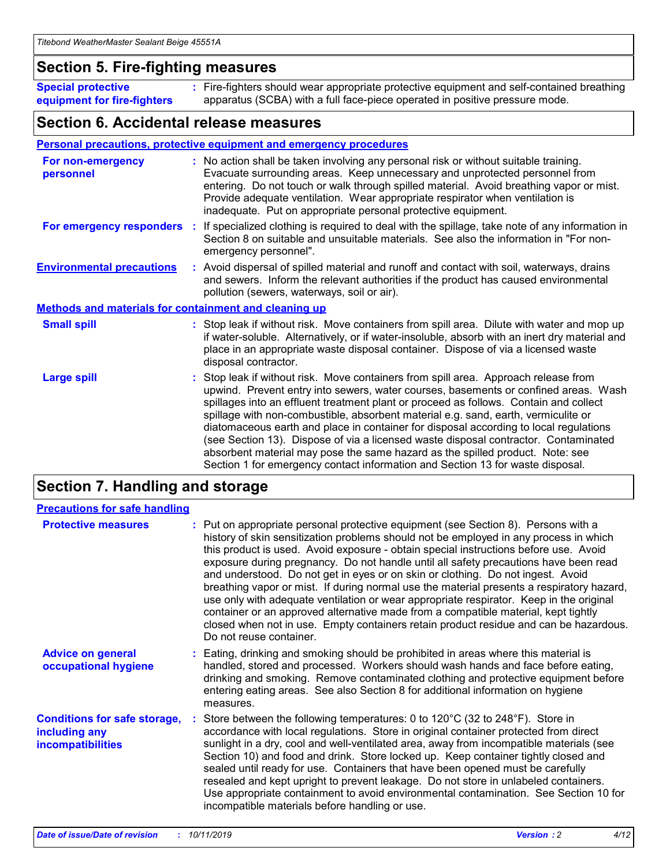## **Section 5. Fire-fighting measures**

**Special protective equipment for fire-fighters** Fire-fighters should wear appropriate protective equipment and self-contained breathing **:** apparatus (SCBA) with a full face-piece operated in positive pressure mode.

## **Section 6. Accidental release measures**

#### **Personal precautions, protective equipment and emergency procedures**

| For non-emergency<br>personnel                               | : No action shall be taken involving any personal risk or without suitable training.<br>Evacuate surrounding areas. Keep unnecessary and unprotected personnel from<br>entering. Do not touch or walk through spilled material. Avoid breathing vapor or mist.<br>Provide adequate ventilation. Wear appropriate respirator when ventilation is<br>inadequate. Put on appropriate personal protective equipment.                                                                                                                                                                                                                                                                                             |
|--------------------------------------------------------------|--------------------------------------------------------------------------------------------------------------------------------------------------------------------------------------------------------------------------------------------------------------------------------------------------------------------------------------------------------------------------------------------------------------------------------------------------------------------------------------------------------------------------------------------------------------------------------------------------------------------------------------------------------------------------------------------------------------|
|                                                              | For emergency responders : If specialized clothing is required to deal with the spillage, take note of any information in<br>Section 8 on suitable and unsuitable materials. See also the information in "For non-<br>emergency personnel".                                                                                                                                                                                                                                                                                                                                                                                                                                                                  |
| <b>Environmental precautions</b>                             | : Avoid dispersal of spilled material and runoff and contact with soil, waterways, drains<br>and sewers. Inform the relevant authorities if the product has caused environmental<br>pollution (sewers, waterways, soil or air).                                                                                                                                                                                                                                                                                                                                                                                                                                                                              |
| <b>Methods and materials for containment and cleaning up</b> |                                                                                                                                                                                                                                                                                                                                                                                                                                                                                                                                                                                                                                                                                                              |
| <b>Small spill</b>                                           | : Stop leak if without risk. Move containers from spill area. Dilute with water and mop up<br>if water-soluble. Alternatively, or if water-insoluble, absorb with an inert dry material and<br>place in an appropriate waste disposal container. Dispose of via a licensed waste<br>disposal contractor.                                                                                                                                                                                                                                                                                                                                                                                                     |
| <b>Large spill</b>                                           | : Stop leak if without risk. Move containers from spill area. Approach release from<br>upwind. Prevent entry into sewers, water courses, basements or confined areas. Wash<br>spillages into an effluent treatment plant or proceed as follows. Contain and collect<br>spillage with non-combustible, absorbent material e.g. sand, earth, vermiculite or<br>diatomaceous earth and place in container for disposal according to local regulations<br>(see Section 13). Dispose of via a licensed waste disposal contractor. Contaminated<br>absorbent material may pose the same hazard as the spilled product. Note: see<br>Section 1 for emergency contact information and Section 13 for waste disposal. |

# **Section 7. Handling and storage**

| <b>Precautions for safe handling</b>                                             |                                                                                                                                                                                                                                                                                                                                                                                                                                                                                                                                                                                                                                                                                                                                                                                                                                                  |
|----------------------------------------------------------------------------------|--------------------------------------------------------------------------------------------------------------------------------------------------------------------------------------------------------------------------------------------------------------------------------------------------------------------------------------------------------------------------------------------------------------------------------------------------------------------------------------------------------------------------------------------------------------------------------------------------------------------------------------------------------------------------------------------------------------------------------------------------------------------------------------------------------------------------------------------------|
| <b>Protective measures</b>                                                       | : Put on appropriate personal protective equipment (see Section 8). Persons with a<br>history of skin sensitization problems should not be employed in any process in which<br>this product is used. Avoid exposure - obtain special instructions before use. Avoid<br>exposure during pregnancy. Do not handle until all safety precautions have been read<br>and understood. Do not get in eyes or on skin or clothing. Do not ingest. Avoid<br>breathing vapor or mist. If during normal use the material presents a respiratory hazard,<br>use only with adequate ventilation or wear appropriate respirator. Keep in the original<br>container or an approved alternative made from a compatible material, kept tightly<br>closed when not in use. Empty containers retain product residue and can be hazardous.<br>Do not reuse container. |
| <b>Advice on general</b><br>occupational hygiene                                 | : Eating, drinking and smoking should be prohibited in areas where this material is<br>handled, stored and processed. Workers should wash hands and face before eating,<br>drinking and smoking. Remove contaminated clothing and protective equipment before<br>entering eating areas. See also Section 8 for additional information on hygiene<br>measures.                                                                                                                                                                                                                                                                                                                                                                                                                                                                                    |
| <b>Conditions for safe storage,</b><br>including any<br><b>incompatibilities</b> | : Store between the following temperatures: 0 to 120 $\degree$ C (32 to 248 $\degree$ F). Store in<br>accordance with local regulations. Store in original container protected from direct<br>sunlight in a dry, cool and well-ventilated area, away from incompatible materials (see<br>Section 10) and food and drink. Store locked up. Keep container tightly closed and<br>sealed until ready for use. Containers that have been opened must be carefully<br>resealed and kept upright to prevent leakage. Do not store in unlabeled containers.<br>Use appropriate containment to avoid environmental contamination. See Section 10 for<br>incompatible materials before handling or use.                                                                                                                                                   |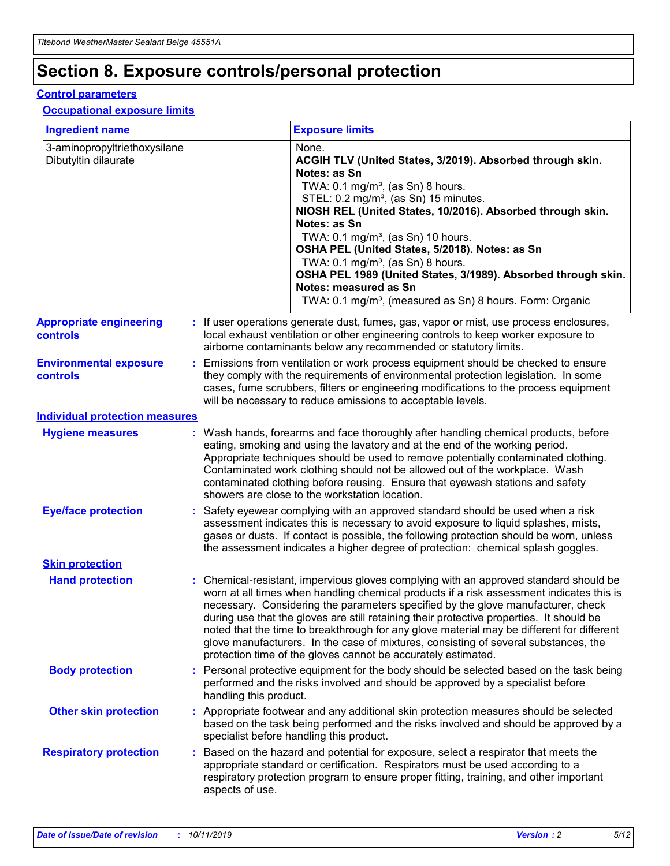# **Section 8. Exposure controls/personal protection**

#### **Control parameters**

#### **Occupational exposure limits**

| <b>Ingredient name</b>                               |    |                                          | <b>Exposure limits</b>                                                                                                                                                                                                                                                                                                                                                                                                                                                                                                                                                                                                 |
|------------------------------------------------------|----|------------------------------------------|------------------------------------------------------------------------------------------------------------------------------------------------------------------------------------------------------------------------------------------------------------------------------------------------------------------------------------------------------------------------------------------------------------------------------------------------------------------------------------------------------------------------------------------------------------------------------------------------------------------------|
| 3-aminopropyltriethoxysilane<br>Dibutyltin dilaurate |    |                                          | None.<br>ACGIH TLV (United States, 3/2019). Absorbed through skin.<br>Notes: as Sn<br>TWA: 0.1 mg/m <sup>3</sup> , (as Sn) 8 hours.<br>STEL: 0.2 mg/m <sup>3</sup> , (as Sn) 15 minutes.<br>NIOSH REL (United States, 10/2016). Absorbed through skin.<br>Notes: as Sn<br>TWA: 0.1 mg/m <sup>3</sup> , (as Sn) 10 hours.<br>OSHA PEL (United States, 5/2018). Notes: as Sn<br>TWA: $0.1 \text{ mg/m}^3$ , (as Sn) 8 hours.<br>OSHA PEL 1989 (United States, 3/1989). Absorbed through skin.<br>Notes: measured as Sn<br>TWA: 0.1 mg/m <sup>3</sup> , (measured as Sn) 8 hours. Form: Organic                           |
| <b>Appropriate engineering</b><br>controls           |    |                                          | : If user operations generate dust, fumes, gas, vapor or mist, use process enclosures,<br>local exhaust ventilation or other engineering controls to keep worker exposure to<br>airborne contaminants below any recommended or statutory limits.                                                                                                                                                                                                                                                                                                                                                                       |
| <b>Environmental exposure</b><br><b>controls</b>     |    |                                          | Emissions from ventilation or work process equipment should be checked to ensure<br>they comply with the requirements of environmental protection legislation. In some<br>cases, fume scrubbers, filters or engineering modifications to the process equipment<br>will be necessary to reduce emissions to acceptable levels.                                                                                                                                                                                                                                                                                          |
| <b>Individual protection measures</b>                |    |                                          |                                                                                                                                                                                                                                                                                                                                                                                                                                                                                                                                                                                                                        |
| <b>Hygiene measures</b>                              |    |                                          | : Wash hands, forearms and face thoroughly after handling chemical products, before<br>eating, smoking and using the lavatory and at the end of the working period.<br>Appropriate techniques should be used to remove potentially contaminated clothing.<br>Contaminated work clothing should not be allowed out of the workplace. Wash<br>contaminated clothing before reusing. Ensure that eyewash stations and safety<br>showers are close to the workstation location.                                                                                                                                            |
| <b>Eye/face protection</b>                           |    |                                          | : Safety eyewear complying with an approved standard should be used when a risk<br>assessment indicates this is necessary to avoid exposure to liquid splashes, mists,<br>gases or dusts. If contact is possible, the following protection should be worn, unless<br>the assessment indicates a higher degree of protection: chemical splash goggles.                                                                                                                                                                                                                                                                  |
| <b>Skin protection</b>                               |    |                                          |                                                                                                                                                                                                                                                                                                                                                                                                                                                                                                                                                                                                                        |
| <b>Hand protection</b>                               |    |                                          | : Chemical-resistant, impervious gloves complying with an approved standard should be<br>worn at all times when handling chemical products if a risk assessment indicates this is<br>necessary. Considering the parameters specified by the glove manufacturer, check<br>during use that the gloves are still retaining their protective properties. It should be<br>noted that the time to breakthrough for any glove material may be different for different<br>glove manufacturers. In the case of mixtures, consisting of several substances, the<br>protection time of the gloves cannot be accurately estimated. |
| <b>Body protection</b>                               |    | handling this product.                   | Personal protective equipment for the body should be selected based on the task being<br>performed and the risks involved and should be approved by a specialist before                                                                                                                                                                                                                                                                                                                                                                                                                                                |
| <b>Other skin protection</b>                         |    | specialist before handling this product. | : Appropriate footwear and any additional skin protection measures should be selected<br>based on the task being performed and the risks involved and should be approved by a                                                                                                                                                                                                                                                                                                                                                                                                                                          |
| <b>Respiratory protection</b>                        | ÷. | aspects of use.                          | Based on the hazard and potential for exposure, select a respirator that meets the<br>appropriate standard or certification. Respirators must be used according to a<br>respiratory protection program to ensure proper fitting, training, and other important                                                                                                                                                                                                                                                                                                                                                         |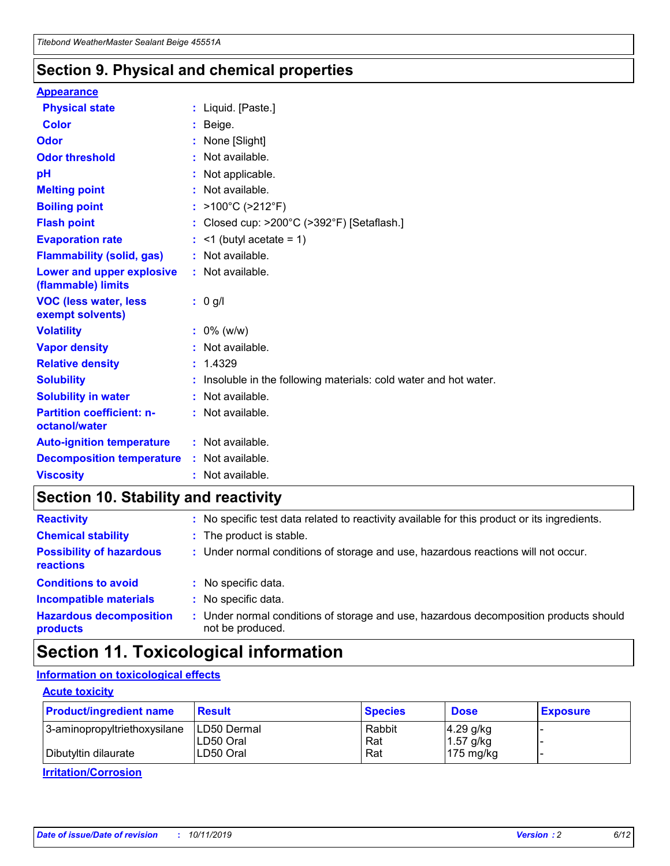## **Section 9. Physical and chemical properties**

#### **Appearance**

| <b>Physical state</b>                             | : Liquid. [Paste.]                                              |
|---------------------------------------------------|-----------------------------------------------------------------|
| Color                                             | Beige.                                                          |
| Odor                                              | None [Slight]                                                   |
| <b>Odor threshold</b>                             | $:$ Not available.                                              |
| рH                                                | : Not applicable.                                               |
| <b>Melting point</b>                              | : Not available.                                                |
| <b>Boiling point</b>                              | : >100°C (>212°F)                                               |
| <b>Flash point</b>                                | : Closed cup: $>200^{\circ}$ C ( $>392^{\circ}$ F) [Setaflash.] |
| <b>Evaporation rate</b>                           | $:$ <1 (butyl acetate = 1)                                      |
| <b>Flammability (solid, gas)</b>                  | : Not available.                                                |
| Lower and upper explosive<br>(flammable) limits   | $:$ Not available.                                              |
| <b>VOC (less water, less</b><br>exempt solvents)  | : 0 g/l                                                         |
| <b>Volatility</b>                                 | $: 0\%$ (w/w)                                                   |
| <b>Vapor density</b>                              | : Not available.                                                |
| <b>Relative density</b>                           | : 1.4329                                                        |
| <b>Solubility</b>                                 | Insoluble in the following materials: cold water and hot water. |
| <b>Solubility in water</b>                        | : Not available.                                                |
| <b>Partition coefficient: n-</b><br>octanol/water | : Not available.                                                |
|                                                   |                                                                 |
| <b>Auto-ignition temperature</b>                  | : Not available.                                                |
| <b>Decomposition temperature</b>                  | : Not available.                                                |

# **Section 10. Stability and reactivity**

| <b>Reactivity</b>                            |    | : No specific test data related to reactivity available for this product or its ingredients.            |
|----------------------------------------------|----|---------------------------------------------------------------------------------------------------------|
| <b>Chemical stability</b>                    |    | : The product is stable.                                                                                |
| <b>Possibility of hazardous</b><br>reactions |    | : Under normal conditions of storage and use, hazardous reactions will not occur.                       |
| <b>Conditions to avoid</b>                   |    | : No specific data.                                                                                     |
| <b>Incompatible materials</b>                | ٠. | No specific data.                                                                                       |
| <b>Hazardous decomposition</b><br>products   | ÷. | Under normal conditions of storage and use, hazardous decomposition products should<br>not be produced. |

# **Section 11. Toxicological information**

## **Information on toxicological effects**

#### **Acute toxicity**

| <b>Product/ingredient name</b> | <b>Result</b>           | <b>Species</b> | <b>Dose</b>                | <b>Exposure</b> |
|--------------------------------|-------------------------|----------------|----------------------------|-----------------|
| 3-aminopropyltriethoxysilane   | <b>ILD50 Dermal</b>     | Rabbit         | 4.29 g/kg                  |                 |
| Dibutyltin dilaurate           | ILD50 Oral<br>LD50 Oral | Rat<br>Rat     | $1.57$ g/kg<br>175 $mg/kg$ |                 |
|                                |                         |                |                            |                 |

**Irritation/Corrosion**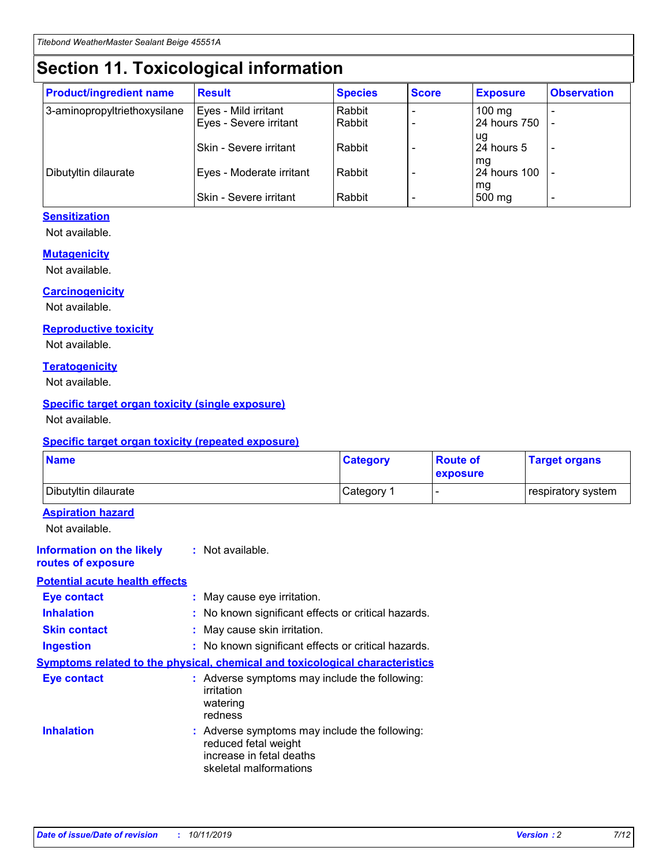# **Section 11. Toxicological information**

| <b>Product/ingredient name</b> | <b>Result</b>            | <b>Species</b> | <b>Score</b> | <b>Exposure</b>           | <b>Observation</b> |
|--------------------------------|--------------------------|----------------|--------------|---------------------------|--------------------|
| 3-aminopropyltriethoxysilane   | Eyes - Mild irritant     | Rabbit         |              | $100$ mg                  |                    |
|                                | Eyes - Severe irritant   | Rabbit         |              | 24 hours 750              |                    |
|                                |                          |                |              | ug                        |                    |
|                                | Skin - Severe irritant   | Rabbit         |              | 24 hours 5                | -                  |
| Dibutyltin dilaurate           | Eyes - Moderate irritant | Rabbit         |              | mq<br><b>24 hours 100</b> |                    |
|                                |                          |                |              | mg                        |                    |
|                                | Skin - Severe irritant   | Rabbit         |              | 500 mg                    |                    |

### **Sensitization**

Not available.

#### **Mutagenicity**

Not available.

#### **Carcinogenicity**

Not available.

#### **Reproductive toxicity**

Not available.

#### **Teratogenicity**

Not available.

#### **Specific target organ toxicity (single exposure)**

Not available.

#### **Specific target organ toxicity (repeated exposure)**

| <b>Name</b>                                                                  |                                                                                                                             | <b>Category</b> | <b>Route of</b><br>exposure  | <b>Target organs</b> |
|------------------------------------------------------------------------------|-----------------------------------------------------------------------------------------------------------------------------|-----------------|------------------------------|----------------------|
| Dibutyltin dilaurate                                                         |                                                                                                                             | Category 1      | $\qquad \qquad \blacksquare$ | respiratory system   |
| <b>Aspiration hazard</b><br>Not available.                                   |                                                                                                                             |                 |                              |                      |
| <b>Information on the likely</b><br>routes of exposure                       | : Not available.                                                                                                            |                 |                              |                      |
| <b>Potential acute health effects</b>                                        |                                                                                                                             |                 |                              |                      |
| <b>Eye contact</b>                                                           | : May cause eye irritation.                                                                                                 |                 |                              |                      |
| <b>Inhalation</b>                                                            | : No known significant effects or critical hazards.                                                                         |                 |                              |                      |
| <b>Skin contact</b>                                                          | : May cause skin irritation.                                                                                                |                 |                              |                      |
| <b>Ingestion</b>                                                             | : No known significant effects or critical hazards.                                                                         |                 |                              |                      |
| Symptoms related to the physical, chemical and toxicological characteristics |                                                                                                                             |                 |                              |                      |
| <b>Eye contact</b>                                                           | : Adverse symptoms may include the following:<br>irritation<br>watering<br>redness                                          |                 |                              |                      |
| <b>Inhalation</b>                                                            | : Adverse symptoms may include the following:<br>reduced fetal weight<br>increase in fetal deaths<br>skeletal malformations |                 |                              |                      |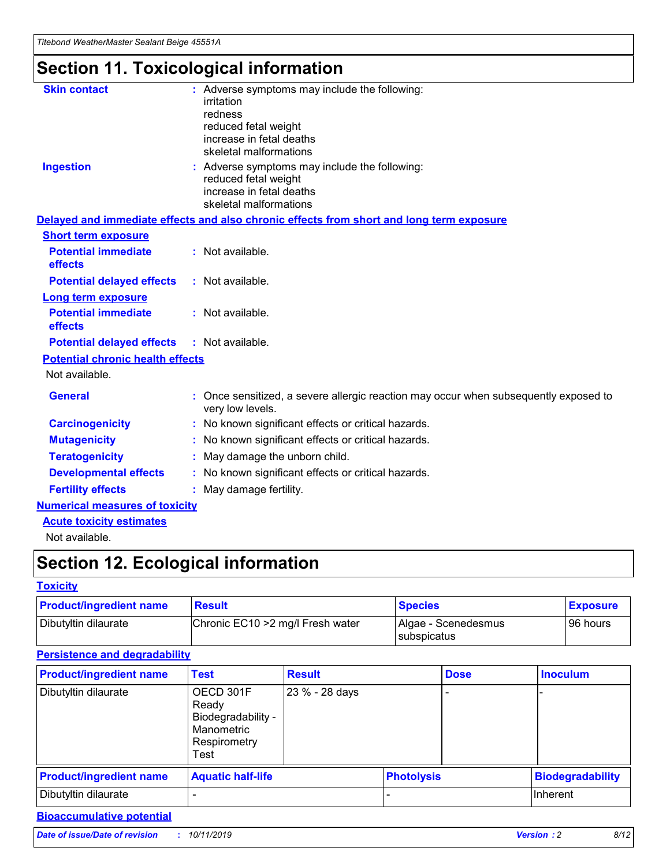# **Section 11. Toxicological information**

| <b>Skin contact</b>                     | : Adverse symptoms may include the following:                                                            |
|-----------------------------------------|----------------------------------------------------------------------------------------------------------|
|                                         | irritation                                                                                               |
|                                         | redness                                                                                                  |
|                                         | reduced fetal weight                                                                                     |
|                                         | increase in fetal deaths                                                                                 |
|                                         | skeletal malformations                                                                                   |
| <b>Ingestion</b>                        | : Adverse symptoms may include the following:                                                            |
|                                         | reduced fetal weight                                                                                     |
|                                         | increase in fetal deaths                                                                                 |
|                                         | skeletal malformations                                                                                   |
|                                         | Delayed and immediate effects and also chronic effects from short and long term exposure                 |
| <b>Short term exposure</b>              |                                                                                                          |
| <b>Potential immediate</b>              | : Not available.                                                                                         |
| effects                                 |                                                                                                          |
| <b>Potential delayed effects</b>        | : Not available.                                                                                         |
| Long term exposure                      |                                                                                                          |
| <b>Potential immediate</b>              | : Not available.                                                                                         |
| effects                                 |                                                                                                          |
| <b>Potential delayed effects</b>        | : Not available.                                                                                         |
| <b>Potential chronic health effects</b> |                                                                                                          |
| Not available.                          |                                                                                                          |
| <b>General</b>                          | : Once sensitized, a severe allergic reaction may occur when subsequently exposed to<br>very low levels. |
| <b>Carcinogenicity</b>                  | : No known significant effects or critical hazards.                                                      |
| <b>Mutagenicity</b>                     | : No known significant effects or critical hazards.                                                      |
| <b>Teratogenicity</b>                   | May damage the unborn child.                                                                             |
| <b>Developmental effects</b>            | : No known significant effects or critical hazards.                                                      |
| <b>Fertility effects</b>                | May damage fertility.                                                                                    |
| <b>Numerical measures of toxicity</b>   |                                                                                                          |
| <b>Acute toxicity estimates</b>         |                                                                                                          |
| الملحلة والمستحقق فالمرابط              |                                                                                                          |

Not available.

# **Section 12. Ecological information**

#### **Toxicity**

| <b>Product/ingredient name</b> | <b>Result</b>                     | <b>Species</b>                       | <b>Exposure</b> |
|--------------------------------|-----------------------------------|--------------------------------------|-----------------|
| Dibutyltin dilaurate           | Chronic EC10 > 2 mg/l Fresh water | Algae - Scenedesmus<br>I subspicatus | l 96 hours      |

## **Persistence and degradability**

| <b>Product/ingredient name</b> | <b>Test</b>                                                                    | <b>Result</b>  |                   | <b>Dose</b> | <b>Inoculum</b>         |
|--------------------------------|--------------------------------------------------------------------------------|----------------|-------------------|-------------|-------------------------|
| Dibutyltin dilaurate           | OECD 301F<br>Ready<br>Biodegradability -<br>Manometric<br>Respirometry<br>Test | 23 % - 28 days |                   |             |                         |
| <b>Product/ingredient name</b> | <b>Aquatic half-life</b>                                                       |                | <b>Photolysis</b> |             | <b>Biodegradability</b> |
| Dibutyltin dilaurate           |                                                                                |                |                   |             | Inherent                |

## **Bioaccumulative potential**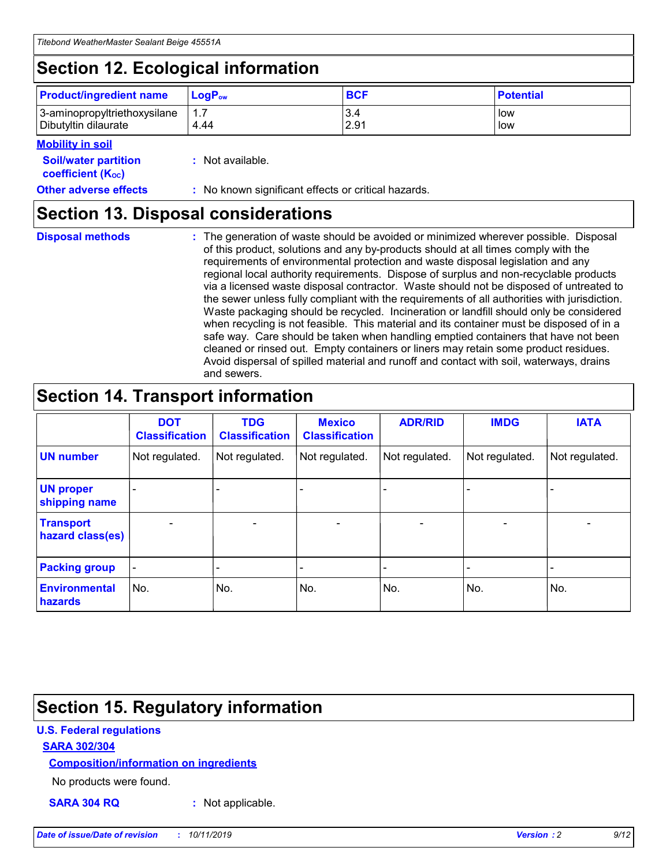# **Section 12. Ecological information**

| <b>Product/ingredient name</b> | $LoaPow$ | <b>BCF</b> | <b>Potential</b> |
|--------------------------------|----------|------------|------------------|
| 3-aminopropyltriethoxysilane   | 1.7      | 3.4        | low              |
| Dibutyltin dilaurate           | 4.44     | 2.91       | low              |

#### **Mobility in soil**

| <i></i>                                                       |                                                     |
|---------------------------------------------------------------|-----------------------------------------------------|
| <b>Soil/water partition</b><br>coefficient (K <sub>oc</sub> ) | : Not available.                                    |
| <b>Other adverse effects</b>                                  | : No known significant effects or critical hazards. |

## **Section 13. Disposal considerations**

**Disposal methods :**

The generation of waste should be avoided or minimized wherever possible. Disposal of this product, solutions and any by-products should at all times comply with the requirements of environmental protection and waste disposal legislation and any regional local authority requirements. Dispose of surplus and non-recyclable products via a licensed waste disposal contractor. Waste should not be disposed of untreated to the sewer unless fully compliant with the requirements of all authorities with jurisdiction. Waste packaging should be recycled. Incineration or landfill should only be considered when recycling is not feasible. This material and its container must be disposed of in a safe way. Care should be taken when handling emptied containers that have not been cleaned or rinsed out. Empty containers or liners may retain some product residues. Avoid dispersal of spilled material and runoff and contact with soil, waterways, drains and sewers.

# **Section 14. Transport information**

|                                      | <b>DOT</b><br><b>Classification</b> | <b>TDG</b><br><b>Classification</b> | <b>Mexico</b><br><b>Classification</b> | <b>ADR/RID</b> | <b>IMDG</b>              | <b>IATA</b>              |
|--------------------------------------|-------------------------------------|-------------------------------------|----------------------------------------|----------------|--------------------------|--------------------------|
| <b>UN number</b>                     | Not regulated.                      | Not regulated.                      | Not regulated.                         | Not regulated. | Not regulated.           | Not regulated.           |
| <b>UN proper</b><br>shipping name    | $\blacksquare$                      |                                     |                                        |                |                          |                          |
| <b>Transport</b><br>hazard class(es) | $\blacksquare$                      | $\overline{\phantom{a}}$            | $\blacksquare$                         | $\blacksquare$ | $\overline{\phantom{a}}$ | $\overline{\phantom{0}}$ |
| <b>Packing group</b>                 | $\overline{\phantom{a}}$            | $\overline{\phantom{0}}$            | $\overline{\phantom{a}}$               | -              | $\overline{\phantom{0}}$ | $\overline{\phantom{a}}$ |
| <b>Environmental</b><br>hazards      | No.                                 | No.                                 | No.                                    | No.            | No.                      | No.                      |

# **Section 15. Regulatory information**

### **U.S. Federal regulations**

#### **SARA 302/304**

#### **Composition/information on ingredients**

No products were found.

**SARA 304 RQ :** Not applicable.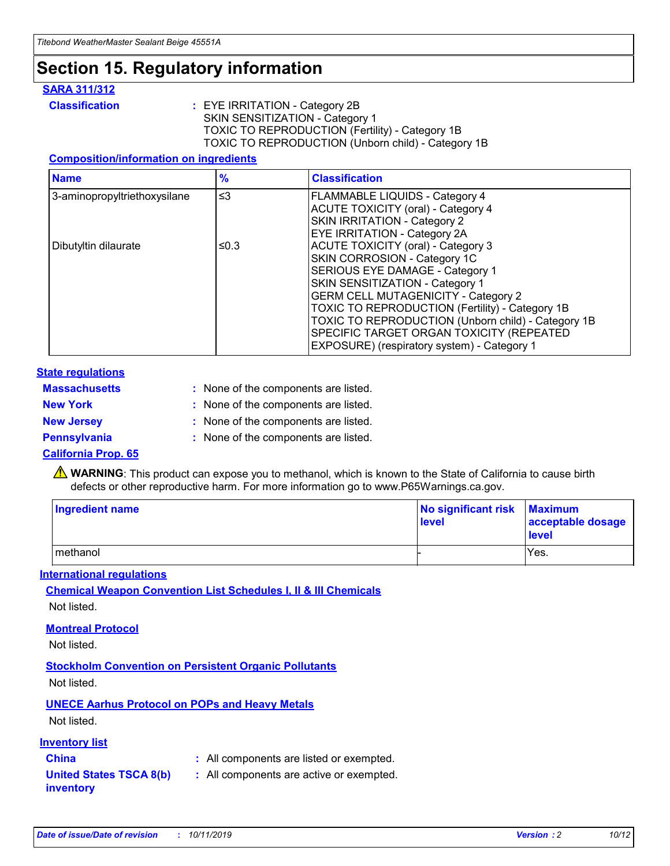# **Section 15. Regulatory information**

#### **SARA 311/312**

**Classification :** EYE IRRITATION - Category 2B SKIN SENSITIZATION - Category 1 TOXIC TO REPRODUCTION (Fertility) - Category 1B TOXIC TO REPRODUCTION (Unborn child) - Category 1B

#### **Composition/information on ingredients**

| <b>Name</b>                  | $\frac{9}{6}$ | <b>Classification</b>                                                                                            |
|------------------------------|---------------|------------------------------------------------------------------------------------------------------------------|
| 3-aminopropyltriethoxysilane | $\leq$ 3      | <b>FLAMMABLE LIQUIDS - Category 4</b><br><b>ACUTE TOXICITY (oral) - Category 4</b>                               |
|                              |               | SKIN IRRITATION - Category 2<br>EYE IRRITATION - Category 2A                                                     |
| Dibutyltin dilaurate         | ≤0.3          | ACUTE TOXICITY (oral) - Category 3<br>SKIN CORROSION - Category 1C                                               |
|                              |               | SERIOUS EYE DAMAGE - Category 1<br>SKIN SENSITIZATION - Category 1<br><b>GERM CELL MUTAGENICITY - Category 2</b> |
|                              |               | TOXIC TO REPRODUCTION (Fertility) - Category 1B<br>TOXIC TO REPRODUCTION (Unborn child) - Category 1B            |
|                              |               | SPECIFIC TARGET ORGAN TOXICITY (REPEATED<br>EXPOSURE) (respiratory system) - Category 1                          |

#### **State regulations**

| <b>Massachusetts</b> | : None of the components are listed. |
|----------------------|--------------------------------------|
| <b>New York</b>      | : None of the components are listed. |
| <b>New Jersey</b>    | : None of the components are listed. |
| <b>Pennsylvania</b>  | : None of the components are listed. |

#### **California Prop. 65**

**A** WARNING: This product can expose you to methanol, which is known to the State of California to cause birth defects or other reproductive harm. For more information go to www.P65Warnings.ca.gov.

| <b>Ingredient name</b> | No significant risk Maximum<br>level | acceptable dosage<br>level |
|------------------------|--------------------------------------|----------------------------|
| methanol               |                                      | Yes.                       |

#### **International regulations**

**Chemical Weapon Convention List Schedules I, II & III Chemicals** Not listed.

#### **Montreal Protocol**

Not listed.

#### **Stockholm Convention on Persistent Organic Pollutants**

Not listed.

## **UNECE Aarhus Protocol on POPs and Heavy Metals**

Not listed.

#### **Inventory list**

## **China :** All components are listed or exempted.

#### **United States TSCA 8(b) inventory :** All components are active or exempted.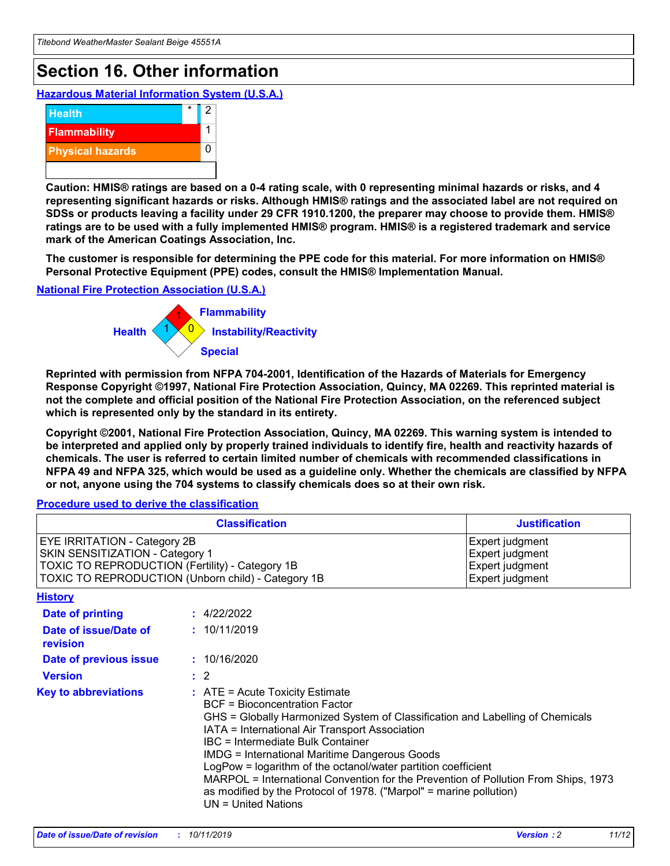# **Section 16. Other information**

**Hazardous Material Information System (U.S.A.)**



**Caution: HMIS® ratings are based on a 0-4 rating scale, with 0 representing minimal hazards or risks, and 4 representing significant hazards or risks. Although HMIS® ratings and the associated label are not required on SDSs or products leaving a facility under 29 CFR 1910.1200, the preparer may choose to provide them. HMIS® ratings are to be used with a fully implemented HMIS® program. HMIS® is a registered trademark and service mark of the American Coatings Association, Inc.**

**The customer is responsible for determining the PPE code for this material. For more information on HMIS® Personal Protective Equipment (PPE) codes, consult the HMIS® Implementation Manual.**

#### **National Fire Protection Association (U.S.A.)**



**Reprinted with permission from NFPA 704-2001, Identification of the Hazards of Materials for Emergency Response Copyright ©1997, National Fire Protection Association, Quincy, MA 02269. This reprinted material is not the complete and official position of the National Fire Protection Association, on the referenced subject which is represented only by the standard in its entirety.**

**Copyright ©2001, National Fire Protection Association, Quincy, MA 02269. This warning system is intended to be interpreted and applied only by properly trained individuals to identify fire, health and reactivity hazards of chemicals. The user is referred to certain limited number of chemicals with recommended classifications in NFPA 49 and NFPA 325, which would be used as a guideline only. Whether the chemicals are classified by NFPA or not, anyone using the 704 systems to classify chemicals does so at their own risk.**

**Procedure used to derive the classification**

| <b>Classification</b>                                                                                                                                                    |                                                                                                                                                  | <b>Justification</b>                                                                                                                                                                                                                                                                                                                                                                                                 |  |
|--------------------------------------------------------------------------------------------------------------------------------------------------------------------------|--------------------------------------------------------------------------------------------------------------------------------------------------|----------------------------------------------------------------------------------------------------------------------------------------------------------------------------------------------------------------------------------------------------------------------------------------------------------------------------------------------------------------------------------------------------------------------|--|
| EYE IRRITATION - Category 2B<br>SKIN SENSITIZATION - Category 1<br>TOXIC TO REPRODUCTION (Fertility) - Category 1B<br>TOXIC TO REPRODUCTION (Unborn child) - Category 1B |                                                                                                                                                  | Expert judgment<br>Expert judgment<br>Expert judgment<br>Expert judgment                                                                                                                                                                                                                                                                                                                                             |  |
| <b>History</b>                                                                                                                                                           |                                                                                                                                                  |                                                                                                                                                                                                                                                                                                                                                                                                                      |  |
| Date of printing                                                                                                                                                         | : 4/22/2022                                                                                                                                      |                                                                                                                                                                                                                                                                                                                                                                                                                      |  |
| Date of issue/Date of<br>revision                                                                                                                                        | : 10/11/2019                                                                                                                                     |                                                                                                                                                                                                                                                                                                                                                                                                                      |  |
| Date of previous issue                                                                                                                                                   | : 10/16/2020                                                                                                                                     |                                                                                                                                                                                                                                                                                                                                                                                                                      |  |
| <b>Version</b>                                                                                                                                                           | $\therefore$ 2                                                                                                                                   |                                                                                                                                                                                                                                                                                                                                                                                                                      |  |
| <b>Key to abbreviations</b>                                                                                                                                              | $\therefore$ ATE = Acute Toxicity Estimate<br><b>BCF</b> = Bioconcentration Factor<br>IBC = Intermediate Bulk Container<br>$UN = United Nations$ | GHS = Globally Harmonized System of Classification and Labelling of Chemicals<br>IATA = International Air Transport Association<br><b>IMDG = International Maritime Dangerous Goods</b><br>LogPow = logarithm of the octanol/water partition coefficient<br>MARPOL = International Convention for the Prevention of Pollution From Ships, 1973<br>as modified by the Protocol of 1978. ("Marpol" = marine pollution) |  |